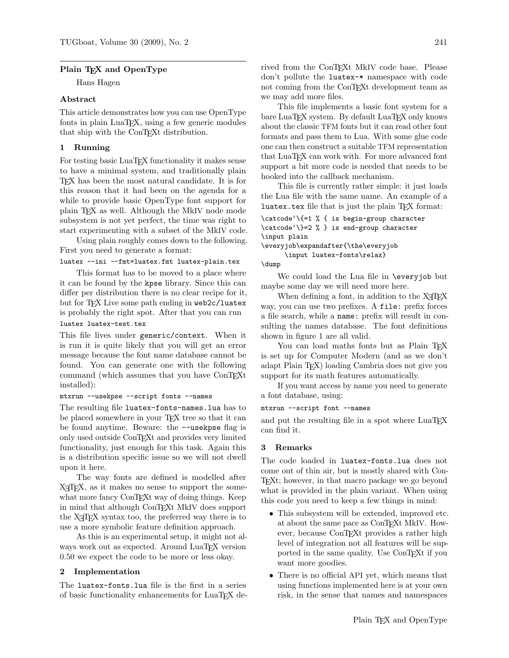# Plain T<sub>F</sub>X and OpenType

Hans Hagen

# Abstract

This article demonstrates how you can use OpenType fonts in plain LuaT<sub>E</sub>X, using a few generic modules that ship with the ConTEXt distribution.

# 1 Running

For testing basic LuaT<sub>EX</sub> functionality it makes sense to have a minimal system, and traditionally plain TEX has been the most natural candidate. It is for this reason that it had been on the agenda for a while to provide basic OpenType font support for plain TEX as well. Although the MkIV node mode subsystem is not yet perfect, the time was right to start experimenting with a subset of the MkIV code.

Using plain roughly comes down to the following. First you need to generate a format:

### luatex --ini --fmt=luatex.fmt luatex-plain.tex

This format has to be moved to a place where it can be found by the kpse library. Since this can differ per distribution there is no clear recipe for it, but for TFX Live some path ending in web2c/luatex is probably the right spot. After that you can run

### luatex luatex-test.tex

This file lives under generic/context. When it is run it is quite likely that you will get an error message because the font name database cannot be found. You can generate one with the following command (which assumes that you have ConTEXt installed):

### mtxrun --usekpse --script fonts --names

The resulting file luatex-fonts-names.lua has to be placed somewhere in your T<sub>EX</sub> tree so that it can be found anytime. Beware: the --usekpse flag is only used outside ConTEXt and provides very limited functionality, just enough for this task. Again this is a distribution specific issue so we will not dwell upon it here.

The way fonts are defined is modelled after X<sub>T</sub>T<sub>E</sub>X, as it makes no sense to support the somewhat more fancy ConT<sub>E</sub>Xt way of doing things. Keep in mind that although ConTEXt MkIV does support the X<sub>T</sub>T<sub>E</sub>X syntax too, the preferred way there is to use a more symbolic feature definition approach.

As this is an experimental setup, it might not always work out as expected. Around LuaTEX version 0.50 we expect the code to be more or less okay.

### 2 Implementation

The luatex-fonts.lua file is the first in a series of basic functionality enhancements for LuaTEX derived from the ConTEXt MkIV code base. Please don't pollute the luatex-\* namespace with code not coming from the ConTEXt development team as we may add more files.

This file implements a basic font system for a bare LuaTEX system. By default LuaTEX only knows about the classic TFM fonts but it can read other font formats and pass them to Lua. With some glue code one can then construct a suitable TFM representation that LuaT<sub>EX</sub> can work with. For more advanced font support a bit more code is needed that needs to be hooked into the callback mechanism.

This file is currently rather simple: it just loads the Lua file with the same name. An example of a luatex.tex file that is just the plain TFX format:

```
\catcode'\{=1 % { is begin-group character
\catcode'\}=2 % } is end-group character
\input plain
```
\everyjob\expandafter{\the\everyjob \input luatex-fonts\relax}

\dump

We could load the Lua file in \everyjob but maybe some day we will need more here.

When defining a font, in addition to the X<sub>H</sub>T<sub>E</sub>X way, you can use two prefixes. A file: prefix forces a file search, while a name: prefix will result in consulting the names database. The font definitions shown in figure 1 are all valid.

You can load maths fonts but as Plain T<sub>EX</sub> is set up for Computer Modern (and as we don't adapt Plain TEX) loading Cambria does not give you support for its math features automatically.

If you want access by name you need to generate a font database, using:

#### mtxrun --script font --names

and put the resulting file in a spot where LuaT<sub>E</sub>X can find it.

# 3 Remarks

The code loaded in luatex-fonts.lua does not come out of thin air, but is mostly shared with Con-TEXt; however, in that macro package we go beyond what is provided in the plain variant. When using this code you need to keep a few things in mind:

- This subsystem will be extended, improved etc. at about the same pace as ConT<sub>E</sub>Xt MkIV. However, because ConTEXt provides a rather high level of integration not all features will be supported in the same quality. Use ConTEXt if you want more goodies.
- There is no official API yet, which means that using functions implemented here is at your own risk, in the sense that names and namespaces